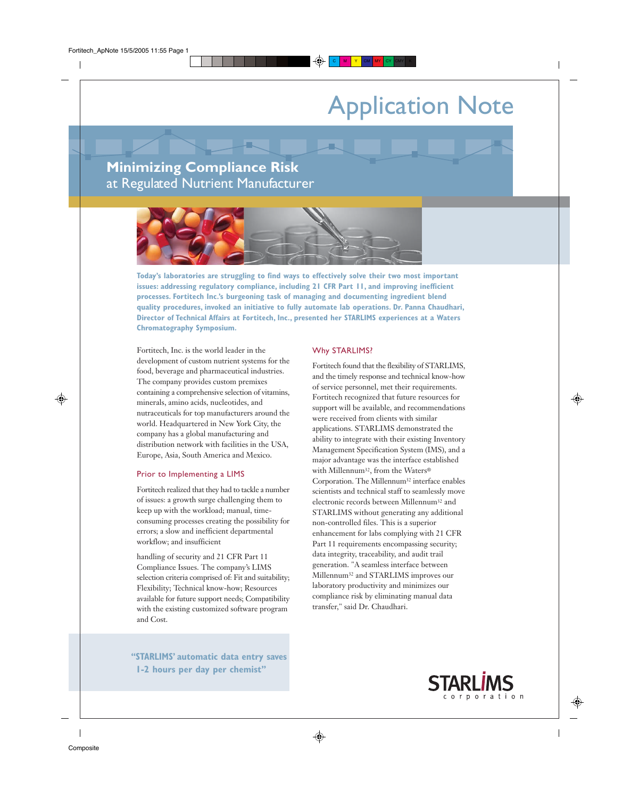# Application Note

## **Minimizing Compliance Risk** at Regulated Nutrient Manufacturer



**Today's laboratories are struggling to find ways to effectively solve their two most important issues: addressing regulatory compliance, including 21 CFR Part 11, and improving inefficient processes. Fortitech Inc.'s burgeoning task of managing and documenting ingredient blend quality procedures, invoked an initiative to fully automate lab operations. Dr. Panna Chaudhari, Director of Technical Affairs at Fortitech, Inc., presented her STARLIMS experiences at a Waters Chromatography Symposium.**

Fortitech, Inc. is the world leader in the development of custom nutrient systems for the food, beverage and pharmaceutical industries. The company provides custom premixes containing a comprehensive selection of vitamins, minerals, amino acids, nucleotides, and nutraceuticals for top manufacturers around the world. Headquartered in New York City, the company has a global manufacturing and distribution network with facilities in the USA, Europe, Asia, South America and Mexico.

#### Prior to Implementing a LIMS

Fortitech realized that they had to tackle a number of issues: a growth surge challenging them to keep up with the workload; manual, timeconsuming processes creating the possibility for errors; a slow and inefficient departmental workflow; and insufficient

handling of security and 21 CFR Part 11 Compliance Issues. The company's LIMS selection criteria comprised of: Fit and suitability; Flexibility; Technical know-how; Resources available for future support needs; Compatibility with the existing customized software program and Cost.

**"STARLIMS' automatic data entry saves 1-2 hours per day per chemist"**

#### Why STARLIMS?

Fortitech found that the flexibility of STARLIMS, and the timely response and technical know-how of service personnel, met their requirements. Fortitech recognized that future resources for support will be available, and recommendations were received from clients with similar applications. STARLIMS demonstrated the ability to integrate with their existing Inventory Management Specification System (IMS), and a major advantage was the interface established with Millennum32, from the Waters® Corporation. The Millennum32 interface enables scientists and technical staff to seamlessly move electronic records between Millennum32 and STARLIMS without generating any additional non-controlled files. This is a superior enhancement for labs complying with 21 CFR Part 11 requirements encompassing security; data integrity, traceability, and audit trail generation. "A seamless interface between Millennum32 and STARLIMS improves our laboratory productivity and minimizes our compliance risk by eliminating manual data transfer," said Dr. Chaudhari.